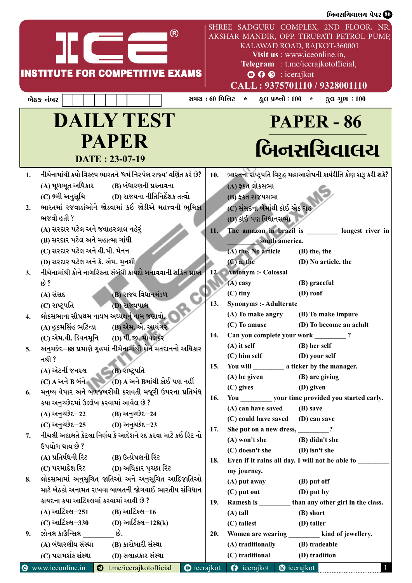|                                                                                                                                                                                 | બિનસચિવાલચ પેપર <b>60</b>                                                                                                                                                                                                                                       |
|---------------------------------------------------------------------------------------------------------------------------------------------------------------------------------|-----------------------------------------------------------------------------------------------------------------------------------------------------------------------------------------------------------------------------------------------------------------|
| ®<br><b>INSTITUTE FOR COMPETITIVE EXAMS</b>                                                                                                                                     | SHREE SADGURU COMPLEX, 2ND FLOOR, NR.<br>AKSHAR MANDIR, OPP. TIRUPATI PETROL PUMP,<br>KALAWAD ROAD, RAJKOT-360001<br>Visit us : www.iceonline.in,<br>Telegram : t.me/icerajkotofficial,<br>$\odot$ $\odot$ $\odot$ : icerajkot<br>CALL: 9375701110 / 9328001110 |
| બેઠક નંબર                                                                                                                                                                       | કુલ પ્રશ્નો : 100 $*$ કુલ ગુણ : 100<br>સમય : 60 મિનિટ<br>$\star$                                                                                                                                                                                                |
| <b>DAILY TEST</b><br><b>PAPER</b><br>DATE: 23-07-19                                                                                                                             | <b>PAPER - 86</b><br>બિનસચિવાલય                                                                                                                                                                                                                                 |
| નીચેનામાંથી કયો વિકલ્પ ભારતને 'ધર્મ નિરપેક્ષ રાજ્ય' વર્ણિત કરે છે?<br>1.<br>(A) મૂળભૂત અધિકાર          (B) બંધારણની પ્રસ્તાવના<br>(C) 9મી અનુસૂચિ (D) રાજયના નીતિનિર્દેશક તત્વો | ભારતના રાષ્ટ્રપતિ વિરુદ્ધ મહાઆરોપની કાર્યરીતિ કોણ શરૂ કરી શકે?<br>10.<br>(A) ફકત લોકસભા<br>(B) ફકત રાજયસભા                                                                                                                                                      |
| ભારતમાં રજવાડાંઓને જોડવામાં કઈ જોડીએ મહત્ત્વની ભૂમિકા<br>2.<br>ભજવી હતી ?<br>(A) સરદાર પટેલ અને જવાહરલાલ નહેરું<br>(B) સરદાર પટેલ અને મહાત્મા ગાંધી                             | (C) સંસદના બેમાંથી કોઈ એક ગૃહ<br>(D) કોઈ પણ વિધાનસભા<br>The amazon in brazil is ________ longest river in<br>11.<br>south america.                                                                                                                              |
| (C) સરદાર પટેલ અને વી.પી. મેનન<br>(D) સરદાર પટેલ અને કે. એમ. મુનશી<br>નીચેનામાંથી કોને નાગરિકતા સંબંધી કાયદો બનાવવાની શક્તિ પ્રાપ્ત<br>3.                                       | (A) the, No article<br>(B) the, the<br>$(C)$ a, the<br>(D) No article, the<br>12. Antonym :- Colossal                                                                                                                                                           |
| છે ?<br>(B) રાજ્ય વિધાનમંડળ<br>(A) સંસદ<br>(C) રાષ્ટ્રપતિ<br>(D) રાજ્યપાલ<br>લોકસભાના સૌપ્રથમ નાયબ અધ્યક્ષનં નામ જણાવો.                                                         | (A) easy<br>(B) graceful<br>$(C)$ tiny<br>$(D)$ roof<br>13.<br><b>Synonyms :- Adulterate</b><br>(A) To make angry<br>(B) To make impure                                                                                                                         |
| (A) હુકમસિંહ ભટિન્ડા (B) એમ. એ. આયંગર<br>(C) એમ.વી. ડિવનમૂનિ (D) પી.જી. માવલંકર                                                                                                 | $(C)$ To amusc<br>(D) To become an aelnlt<br>Can you complete your work __________?<br>14.                                                                                                                                                                      |
| અનુચ્છેદ–88 પ્રમાણે ગૃહમાં નીચેનામાંથી કોને મતદાનનો અધિકાર<br>5.<br>નથી ?<br>(A) એટર્ની જનરલ (B) રાષ્ટ્રપતિ<br>$(C)$ A અને B બંને $(D)$ A અને Bમાંથી કોઈ પણ નહીં                | $(A)$ it self<br>(B) her self<br>$(C)$ him self<br>(D) your self<br>15.<br>(B) are giving<br>$(A)$ be given                                                                                                                                                     |
| મનુષ્ય વેપાર અને બળજબરીથી કરાવતી મજૂરી ઉપરના પ્રતિબંધ<br>6.<br>કયા અનુચ્છેદમાં ઉલ્લેખ કરવામાં આવેલ છે ?<br>(A) અનુચ્છેદ–22 (B) અનુચ્છેદ–24                                      | $(C)$ gives<br>(D) given<br>You ____________ your time provided you started early.<br>16.<br>(A) can have saved (B) save                                                                                                                                        |
| (C) અનુચ્છેદ–25 (D) અનુચ્છેદ–23<br>નીચલી અદાલતે કેટલા નિર્ણય કે આદેશને રદ કરવા માટે કઈ રિટ નો<br>7.<br>ઉપયોગ થાય છે ?                                                           | (C) could have saved (D) can save<br>She put on a new dress, 2012<br>17.<br>(A) won't she<br>(B) didn't she<br>(C) doesn't she<br>(D) isn't she                                                                                                                 |
| (A) પ્રતિર્ષધની રિટ               (B) ઉત્પ્રેષણની રિટ<br>(C) પરમાદેશ રિટ (D) અધિકાર પ્રચ્છા રિટ<br>લોકસભામાં અનુસૂચિત જાતિઓ અને અનુસૂચિત આદિજાતિઓ<br>8.                         | Even if it rains all day. I will not be able to _____<br>18.<br>my journey.<br>(A) put away<br>(B) put off                                                                                                                                                      |
| માટે બેઠકો અનામત રાખવા બાબતની જોગવાઈ ભારતીય સંવિધાન<br>કાયદના કયા આર્ટિકલમાં કરવામાં આવી છે ?<br>(A) આર્ટિકલ $-251$ (B) આર્ટિકલ $-16$                                           | (C) put out<br>(D) put by<br>Ramesh is ___________ than any other girl in the class.<br>19.<br>$(A)$ tall<br>(B) short                                                                                                                                          |
| (C) આર્ટિકલ-330 (D) આર્ટિકલ-128(k)<br>ઝોનલ કાઉન્સિલ ________ છે.<br>9.<br>(A) બંધારણીય સંસ્થા (B) કારોબારી સંસ્થા<br>(C) પરામર્શક સંસ્થા (D) સલાહકાર સંસ્થા                     | (C) tallest<br>(D) taller<br>Women are wearing _______ kind of jewellery.<br>20.<br>(A) traditionally<br>(B) tradeable<br>(C) traditional<br>(D) tradition                                                                                                      |
| $\odot$ www.iceonline.in $\odot$ t.me/icerajkotofficial                                                                                                                         | <b>O</b> icerajkot <b>O</b> icerajkot <b>@</b> icerajkot                                                                                                                                                                                                        |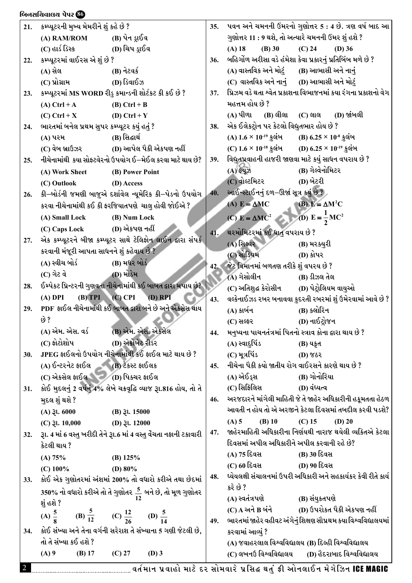| 21. | કમ્પ્યૂટરની મુખ્ય મેમરીને શું કહે છે ?                                      |                         |           | 35. |                                            | ૫વન અને ચમનની ઉંમરનો ગુણોત્તર 5 : 4 છે. ત્રણ વર્ષ બાદ આ          |
|-----|-----------------------------------------------------------------------------|-------------------------|-----------|-----|--------------------------------------------|------------------------------------------------------------------|
|     | (A) RAM/ROM                                                                 | (B) પેન ડ્રાઈવ          |           |     |                                            | ગુણોત્તર 11 : 9 થશે, તો અત્યારે ચમનની ઉંમર શું હશે ?             |
|     | (C) હાર્ડ ડિસ્ક                                                             | (D) ચિપ ડ્રાઈવ          |           |     | $(A)$ 18<br>$(B)$ 30                       | $(C)$ 24<br>$(D)$ 36                                             |
| 22. | કમ્પ્યૂટરમાં વાઈરસ એ શું છે ?                                               |                         |           | 36. |                                            | બહિર્ગોળ અરીસા વડે હંમેશા કેવા પ્રકારનું પ્રતિબિંબ મળે છે ?      |
|     | (A) સેલ                                                                     | (B) નેટવર્ક             |           |     |                                            | (A) વાસ્તવિક અને મોટું (B) આભાસી અને નાનું                       |
|     | (C) પ્રોગ્રામ                                                               | (D) ડિવાઈઝ              |           |     |                                            | (C) વાસ્તવિક અને નાનું (D) આભાસી અને મોટું                       |
| 23. | કમ્પ્યૂટરમાં MS WORD રીડુ કમાન્ડની શોર્ટકટ કી કઈ છે ?                       |                         |           | 37. |                                            | પ્રિઝમ વડે થતા શ્વેત પ્રકાશના વિભાજનમાં કયા રંગના પ્રકાશનો વેગ   |
|     | $(A)$ Ctrl + A                                                              | $(B)$ Ctrl + B          |           |     | મહત્તમ હોય છે ?                            |                                                                  |
|     | $(C)$ Ctrl + X                                                              | (D) Ctrl + $Y$          |           |     | (A) પીળા (B) લીલા (C) લાલ                  | (D) જાંબલી                                                       |
| 24. | ભારતમાં બનેલ પ્રથમ સુપર કમ્પ્યૂટર કયું હતું ?                               |                         |           | 38. | એક ઈલેકટ્રોન પર કેટલો વિદ્યુતભાર હોય છે ?  |                                                                  |
|     | (A) પરમ                                                                     | (B) સિદ્ધાર્થ           |           |     |                                            | (A) $1.6 \times 10^{-19}$ કુલંબ (B) $6.25 \times 10^{-8}$ કુલંબ  |
|     | (C) વેબ બ્રાઉઝર                                                             | (D) આપેલ પૈકી એકપણ નહીં |           |     |                                            | (C) $1.6 \times 10^{-18}$ કુલંબ (D) $6.25 \times 10^{-19}$ કુલંબ |
| 25. | નીચેનામાંથી કયા સોફ્ટવેરનો ઉપયોગ ઈ–મેઈલ કરવા માટે થાય છે?                   |                         |           | 39. |                                            | વિદ્યુતપ્રવાહની હાજરી જાણવા માટે કયું સાધન વપરાય છે ?            |
|     | (A) Work Sheet                                                              | (B) Power Point         |           |     | $(A)$ ईयू $\mathfrak{B}$                   | (B) ગેલ્વેનોમિટર                                                 |
|     | (C) Outlook                                                                 | (D) Access              |           |     | (C) વોલ્ટમિટર                              | (D) બેટરી                                                        |
| 26. | કી–બોર્ડની જમણી બાજુએ દર્શાવેલ ન્યૂમેરિક કી–પેડનો ઉપયોગ્                    |                         |           | 40. | આઈન્સ્ટાઈનનું દળ–ઊર્જા સૂત્ર કયું છે ?     |                                                                  |
|     | કરવા નીચેનામાંથી કઈ કી ફરજિયાતપણે ચાલુ હોવી જોઈએ ?                          |                         |           |     | (A) $E = \Delta MC$                        | (B) $E = \Delta M^2C$                                            |
|     | (A) Small Lock                                                              | (B) Num Lock            |           |     | (C) $E = \Delta MC^2$                      | (D) $E = \frac{1}{2}MC^2$                                        |
|     | (C) Caps Lock                                                               | (D) એકપણ નહીં           |           | 41. | થરમોમિટરમાં કઈ ધાતુ વપરાય છે ?             |                                                                  |
| 27. | એક કમ્પ્યૂટરને બીજા કમ્પ્યૂટર સાથે ટેલિફોન લાઈન દ્વારા સંપર્ક               |                         |           |     | (A) સિલ્વર                                 | (B) મરક્યુરી                                                     |
|     | કરવાની મંજૂરી આપતા સાધનને શું કહેવાય છે ?                                   |                         |           |     | (C) સોડિયમ                                 | (D) કોપર                                                         |
|     | (A) સ્વીચ બોર્ડ                                                             | (B) મધર બોર્ડ           |           | 42. | જેટ વિમાનમાં બળતણ તરીકે શું વપરય છે ?      |                                                                  |
|     | (C) ગેટ વે                                                                  | (D) મોડેમ               |           |     | (A) ગેસોલીન                                | (B) ડીઝલ તેલ                                                     |
| 28. | ઈમ્પેકટ પ્રિન્ટરની ગુણવતા નીચેનામાંથી કઈ બાબત દ્વારા મપાય છે?               |                         |           |     | (C) અતિશુદ્ધ કેરોસીન                       | (D) પેટ્રોલિયમ વાયુઓ                                             |
|     | $(A)$ DPI                                                                   | $(B) TPI$ $(C) CPI$     | $(D)$ RPI | 43. |                                            | વલ્કેનાઈઝડ રબર બનાવવા કુદરતી રબરમાં શું ઉમેરવામાં આવે છે ?       |
| 29. | PDF ફાઈલ નીચેનામાંથી કઈ બાબત દ્વારા બને છે અને એકસેસ થાય                    |                         |           |     | (A) કાર્બન                                 | (B) ક્લોરિન                                                      |
|     | છે ?                                                                        |                         |           |     | (C) સલ્ફર                                  | (D) નાઈટ્રોજન                                                    |
|     | (A) એમ. એસ. વર્ડ (B) એમ. એસ. એકસેલ                                          |                         |           | 44. |                                            | મનુષ્યના પાચનતંત્રમાં પિતનો સ્ત્રાવ કોના દ્વારા થાય છે ?         |
|     | $(C)$ ફોટોશોપ                                                               | (D) એક્રોબેટ રીડર       |           |     | (A) સ્વાદુપિંડ                             | (B) યકૃત                                                         |
| 30. | JPEG ફાઈલનો ઉપયોગ નીચેનામાંથી કઈ ફાઈલ માટે થાય છે ?                         |                         |           |     | (C) મૂત્રપિંડ                              | $(D)$ જઠર                                                        |
|     | $(A)$ ઈ-ટરનેટ ફાઈલ $(B)$ ટેકસ્ટ ફાઈલક                                       |                         |           | 45. |                                            | નીચેના પૈકી કયો જાતીય રોગ વાઈરસને કારણે થાય છે ?                 |
|     | (C) એકસેલ ફાઈલ (D) પિક્ચર ફાઈલ                                              |                         |           |     | (A) એઈડ્સ                                  | (B) ગોનોરિયા                                                     |
| 31. | કોઈ મુદલનું 2 વર્ષનું 4% લેખે ચક્રવૃદ્ધિ વ્યાજ રૂા.816 હોય, તો તે           |                         |           |     | (C) સિફિલિસ                                | (D) વંધ્યત્વ                                                     |
|     | મુદલ શું થશે ?                                                              |                         |           | 46. |                                            | અરજદારને માંગેલી માહિતી જે તે જાહેર અધિકારીની હકૂમતતા હેઠળ       |
|     | $(A)$ $\xi$ l. 6000                                                         | $(B)$ $\gtrsim$ 1.15000 |           |     |                                            | આવતી ન હોય તો એ અરજીને કેટલા દિવસમાં તબદીલ કરવી પડશે?            |
|     | (C) $\lambda$ l. 10,000 (D) $\lambda$ l. 12000                              |                         |           |     | $(A)$ 5<br>$(B)$ 10                        | $(C)$ 15<br>$(D)$ 20                                             |
| 32. | રૂા. 4 માં 6 વસ્તુ ખરીદી તેને રૂા.6 માં 4 વસ્તુ વેંચતા નફાની ટકાવારી        |                         |           | 47. |                                            | જાહેરમાહિતી અધિકારીના નિર્ણયથી નારાજ થયેલી વ્યકિતએ કેટલા         |
|     | કેટલી થાય ?                                                                 |                         |           |     | દિવસમાં અપીલ અધિકારીને અપીલ કરવાની રહે છે? |                                                                  |
|     | (A) 75%                                                                     | (B) $125%$              |           |     | (A) 75 દિવસ                                | (B) 30 દિવસ                                                      |
|     | $(C)$ 100%                                                                  | (D) $80\%$              |           |     | (C) 60 દિવસ                                | (D) 90 દિવસ                                                      |
| 33. | કોઈ એક ગુણોતરમાં અંશમાં 200% તો વધારો કરીએ તથા છેદમાં                       |                         |           | 48. |                                            | ધ્યેયલક્ષી સંચાલનમાં ઉપરી અધિકારી અને સહકાર્યકર કેવી રીતે કાર્ય  |
|     | 350% નો વધારો કરીએ તો તે ગુણોતર <u>5</u> બને છે, તો મૂળ ગુણોતર              |                         |           |     | કરે છે ?                                   |                                                                  |
|     | શું હશે ?                                                                   |                         |           |     | (A) સ્વતંત્રપણે                            | (B) સંયુકતપણે                                                    |
|     | (A) $\frac{5}{8}$ (B) $\frac{5}{12}$ (C) $\frac{12}{26}$ (D) $\frac{5}{14}$ |                         |           |     | (C) A અને B બંને                           | (D) ઉપરોકત પૈકી એકપણ નહીં                                        |
|     |                                                                             |                         |           | 49. |                                            | ભારતમાં જાહેર વહીવટ અંગેનું શિક્ષણ સૌપ્રથમ કયા વિશ્વવિદ્યાલયમાં  |
| 34. | કોઈ સંખ્યા અને તેના વર્ગની સરેરાશ તે સંખ્યાના 5 ગણી જેટલી છે,               |                         |           |     | કરવામાં આવ્યું ?                           |                                                                  |
|     | તો તે સંખ્યા કઈ હશે ?                                                       |                         |           |     |                                            | (A) જવાહરલાલ વિશ્વવિદ્યાલય (B) દિલ્હી વિશ્વવિદ્યાલય              |
|     | $(A)$ 9<br>$(B)$ 17                                                         | $(C)$ 27                | $(D)$ 3   |     | (C) લખનઉ વિશ્વવિદ્યાલય                     | (D) હૈદરાબાદ વિશ્વવિદ્યાલય                                       |

 $\delta$ નિનસચિવાલય પેપર  $\delta$ 

2 JT"DFG 5|JFCM DF8[ NZ ;MDJFZ[ 5|l;â YT]\ ËL VMG,F.G D[U[lhG ICE MAGIC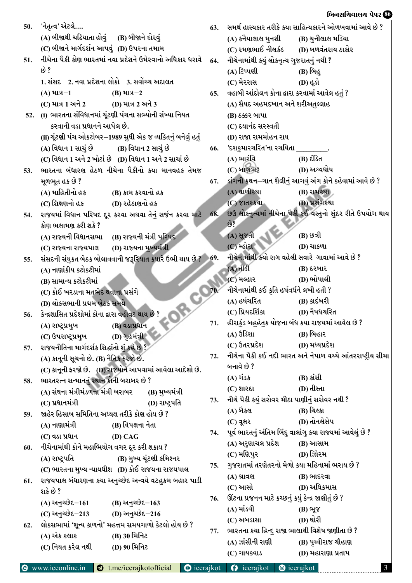| 50. | 'નેતૃત્વ' એટલે                                              | 63.         | સમર્થ હાસ્યકાર તરીકે કયા સાહિત્યકારને ઓળખવામાં આવે છે ?                       |
|-----|-------------------------------------------------------------|-------------|-------------------------------------------------------------------------------|
|     | (A) બીજાથી ચઢિયાતા હોવું (B) બીજાને દોરવું                  |             | (B) ચુનીલાલ મડિયા<br>(A) કનૈયાલાલ મુનશી                                       |
|     | (C) બીજાને માર્ગદર્શન આપવું (D) ઉપરના તમામ                  |             | (C) રમણભાઈ નીલકંઠ (D) બળવંતરાય ઠાકોર                                          |
| 51. | નીચેના પૈકી કોણ ભારતમાં નવા પ્રદેશને ઉમેરવાનો અધિકાર ધરાવે  | 64.         | નીચેનામાંથી કયું લોકનૃત્ય ગુજરાતનું નથી ?                                     |
|     | છે ?                                                        |             | (A) ટિપ્પણી<br>(B) બિહ                                                        |
|     | 1. સંસદ 2. નવા પ્રદેશના લોકો 3. સર્વોચ્ચ અદાલત              |             | (C) મેરરાસ<br>$(D)$ & $\hat{sl}$                                              |
|     | $(A)$ માત્ર $-1$<br>$(B)$ માત્ર $-2$                        | 65.         | વહાબી આંદોલન કોના દ્વારા કરવામાં આવેલ હતું ?                                  |
|     | (C) માત્ર 1 અને 2<br>(D) માત્ર 2 અને 3                      |             | (A) સૈયદ અહમદખાન અને શરીઅતુલ્લાહ                                              |
|     | 52. (i) ભારતના સંવિધાનમાં ચૂંટણી પંચના સભ્યોની સંખ્યા નિયત  |             | (B) ઠક્કર બાપા                                                                |
|     | કરવાની વડા પ્રધાનને આપેલ છે.                                |             | (C) દયાનંદ સરસ્વતી                                                            |
|     | (ii) ચૂંટણી પંચ ઓકટોબર–1989 સુધી એક જ વ્યકિતનું બનેલું હતું |             | (D) રાજા રામમોહન રાય                                                          |
|     | (A) વિધાન 1 સાચું છે (B) વિધાન 2 સાચું છે                   | 66.         | 'દશકુમારચરિત'ના રચયિતા                                                        |
|     | (C) વિધાન 1 અને 2 ખોટાં છે (D) વિધાન 1 અને 2 સાચાં છે       |             | (A) ભારંવિ<br>(B) દંડિત                                                       |
| 53. | ભારતના બંધારણ હેઠળ નીચેના પૈકીનો કયા માનવહક તેમજ            |             | (D) અશ્વઘોષ<br>(C) બાણભટ્ટ                                                    |
|     | મૂળભૂત હક છે ?                                              | 67.         | ડાંગની કથન–ગાન શૈલીનું આગવું અંગ કોને કહેવામાં આવે છે ?                       |
|     | (A) માહિતીનો હક<br>(B) કામ કરવાનો હક                        |             | (A) થાળીકથા<br>(B) રામકથા                                                     |
|     | (C) શિક્ષણનો હક<br>(D) રહેઠાણનો હક                          |             | (C) જાતકકથા<br>(D) પ્રસંગકથા                                                  |
| 54. | રાજયમાં વિધાન પરિષદ દૂર કરવા અથવા તેનું સર્જન કરવા માટે     | 68.         | છઉ લોકનૃત્યમાં નીચેના પૈકી કઈ વસ્તુનો સુંદર રીતે ઉપયોગ થાય                    |
|     | કોણ ભલામણ કરી શકે ?                                         |             | $\omega$ ?                                                                    |
|     | (A) રાજ્યની વિધાનસભા (B) રાજ્યની મંત્રી પરિષદ               |             | (A) સૂજતી<br>(B) છત્રી                                                        |
|     | (D) રાજ્યના મુખ્યમંત્રી<br>(C) રાજ્યના રાજ્યપાલ             |             | $(C)$ મ્હોરા<br><b>(D)</b> ચાકળા                                              |
| 55. | સંસદની સંયુકત બેઠક બોલાવવાની જરૂરિયાત કયારે ઉભી થાય છે ?    | $\vert$ 69. | નીચેનામાંથી કયો રાગ વહેલી સવારે ગાવામાં આવે છે ?                              |
|     | (A) નાણાંકીય કટોકટીમાં                                      |             | $(A)$ $dl3$<br>(B) દરબાર                                                      |
|     | (B) સામાન્ય કટોકટીમાં                                       |             | (D) ભોપાલી<br>(C) મલ્હાર                                                      |
|     | (C) કોઈ ખરડાના મતભેદ થવાના પ્રસંગે                          | 70.         | નીચેનામાંથી કઈ કૃતિ હર્ષવર્ધને લખી હતી ?                                      |
|     | (D) લોકસભાની પ્રથમ બેઠક સમયે                                |             | (A) હર્ષચરિત<br>(B) કાદંબરી                                                   |
| 56. | કેન્દ્રશાસિત પ્રદેશોમાં કોના દ્વારા વહીવટ થાય છે ?          |             | (C) પ્રિયદર્શિકા<br>(D) નૈષધચરિત                                              |
|     | (B) વડાપ્રધાન<br>(A) રાષ્ટ્રપ્રમુખ                          | 71.         | હીરાકુંડ બહુહેતુક યોજના બંધ કયા રાજયમાં આવેલ છે ?                             |
|     | (C) ઉપરાષ્ટ્રપ્રમુખ<br><b>(D)</b> ગુહમંત્રી                 |             | $(A)$ ઉડિશા<br>(B) બિહાર                                                      |
| 57. | રાજયનીતિના માર્ગદર્શક સિદ્ધાંતો શું કહે છે ?                |             | (C) ઉતરપ્રદેશ<br>(D) મધ્યપ્રદેશ                                               |
|     | (A) કાનૂની સૂચનો છે. (B) નૈતિક કરજો છે.                     | 72.         | નીચેના પૈકી કઈ નદી ભારત અને નેપાળ વચ્ચે આંતરરાષ્ટ્રીય સીમા                    |
|     | (C) કાનૂની ફરજો છે. (D) રાજયોને આપવામાં આવેલા આદેશો છે.     |             | બનાવે છે ?                                                                    |
| 58. | ભારતરત્ન સન્માનનું સ્થાન કોની બરાબર છે ?                    |             | $(A)$ ગંડક<br>$(B)$ siell                                                     |
|     | (A) સંઘના મંત્રીમંડળના મંત્રી બરાબર<br>(B) મુખ્યમંત્રી      |             | $(D)$ તીસ્તા<br>(C) શારદા                                                     |
|     | $(C)$ પ્રધાનમંત્રી<br>(D) રાષ્ટ્રપતિ                        | 73.         | નીચે પૈકી કયું સરોવર મીઠા પાણીનું સરોવર નથી ?                                 |
| 59. | જાહેર હિસાબ સમિતિના અધ્યક્ષ તરીકે કોણ હોય છે ?              |             | (A) બૈકલ<br>(B) ચિલ્કા                                                        |
|     | (A) નાણામંત્રી<br>(B) વિપક્ષના નેતા                         |             | (D) તોનલેસેપ<br>(C) વૂલર                                                      |
|     | (C) વડા પ્રધાન<br>$(D)$ CAG                                 | 74.         | પૂર્વ ભારતનું અંતિમ બિંદુ વાલાંગુ કયા રાજ્યમાં આવેલું છે ?                    |
| 60. | નીચેનામાંથી કોને મહાભિયોગ વગર દૂર કરી શકાય ?                |             | (A) અરુણાચલ પ્રદેશ<br>(B) આસામ                                                |
|     | (B) મુખ્ય ચૂંટણી કમિશ્નર<br>(A) રાષ્ટ્રપતિ                  |             | (C) મણિપુર<br>(D) ઝોિરમ                                                       |
|     | (C) ભારતના મુખ્ય ન્યાયધીશ (D) કોઈ રાજયના રાજયપાલ            | 75.         | ગુજરાતમાં તરણેતરનો મેળો કયા મહિનામાં ભરાય છે ?                                |
| 61. | રાજયપાલ બંધારણના કયા અનુચ્છેદ અન્વયે વટહુકમ બહાર પાડી       |             | (A) શ્રાવણ<br>(B) ભાદરવા                                                      |
|     | શકે છે ?                                                    |             | (C) આસો<br>(D) અધિકમાસ                                                        |
|     | (A) અનુચ્છેદ-161 (B) અનુચ્છેદ-163                           | 76.         | ઊંટના પ્રજનન માટે કચ્છનું કયું કેન્દ્ર જાણીતું છે ?                           |
|     | (C) અનુચ્છેદ–213 (D) અનુચ્છેદ–216                           |             | $(A)$ માંડવી<br>(B) ભૂજ                                                       |
| 62. | લોકસભામાં 'શૂન્ય કાળનો' મહત્તમ સમયગાળો કેટલો હોય છે ?       |             | (D) ઘોરી<br>(C) અબડાસા                                                        |
|     | (A) એક કલાક<br>(B) 30 મિનિટ                                 | 77.         | ભારતના કયા હિન્દુ રાજા ભાલાથી વિશેષ જાણીતા છે ?                               |
|     | (C) નિયત કરેલ નથી<br>(D) 90 મિનિટ                           |             | (A) ઝાંસીની રાણી<br>(B) પૃથ્વીરાજ ચૌહાણ                                       |
|     |                                                             |             | (C) ગાયકવાડ<br>(D) મહારાણા પ્રતાપ                                             |
|     | Www.iceonline.in<br>t.me/icerajkotofficial                  |             | $\bullet$ icerajkot $\bullet$ icerajkot<br><b>O</b> icerajkot<br>$\mathbf{3}$ |

## lAG;lRJF,I 5[5Z **86** lAG;lRJF,I 5[5Z **86**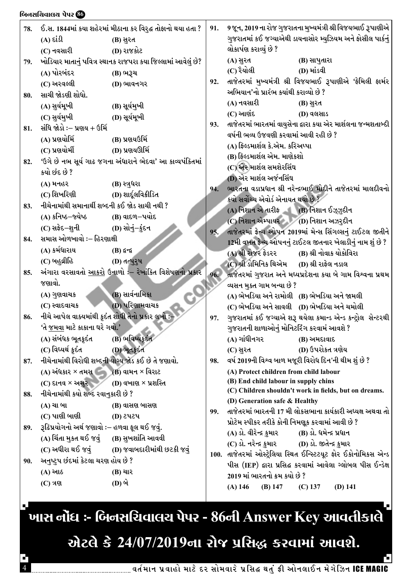| 78. | $(A)$ εί $\Omega$                                  | ઈ.સ. 1844માં કયા શહેરમાં મીઠાના કર વિરુદ્ધ તોફાનો થયા હતા ?<br>(B) સુરત | 91. | 9 જૂન, 2019 ના રોજ ગુજરાતના મુખ્યમંત્રી શ્રી વિજયભાઈ રૂપાણીએ<br>ગુજરાતમાં કઈ જગ્યાએથી ડાયનાસોર મ્યુઝિયમ અને ફોસીલ પાર્કનું |
|-----|----------------------------------------------------|-------------------------------------------------------------------------|-----|----------------------------------------------------------------------------------------------------------------------------|
|     | (C) નવસારી                                         | (D) રાજકોટ                                                              |     | લોકાર્પણ કરાવ્યું છે ?                                                                                                     |
| 79. |                                                    | ખોડિયાર માતાનું પવિત્ર સ્થાનક રાજપરા કયા જિલ્લામાં આવેલું છે?           |     | (A) સુરત<br>(B) સાપુતારા                                                                                                   |
|     | (A) પોરબંદર                                        | (B) ભરૂચ                                                                |     | (C) રૈયોલી<br>(D) માંડવી                                                                                                   |
|     | (C) અરવલ્લી                                        | (D) ભાવનગર                                                              | 92. | તાજેતરમાં મુખ્યમંત્રી શ્રી વિજયભાઈ રૂપાણીએ 'ફેમિલી ફાર્મર                                                                  |
| 80. | સાચી જોડણી શોધો.                                   |                                                                         |     | અભિયાન'નો પ્રારંભ કયાંથી કરાવ્યો છે ?                                                                                      |
|     | (A) સુર્યમૂખી                                      | (B) સૂર્યમુખી                                                           |     | (A) નવસારી<br>(B) સુરત                                                                                                     |
|     | (C) સુર્યમુખી                                      | (D) સૂર્યમૂખી                                                           |     | (C) આણંદ<br>(D) વલસાડ                                                                                                      |
| 81. | સંધિ જોડો ઃ– પ્રણય + ઉર્મિ                         |                                                                         | 93. | તાજેતરમાં ભારતમાં વાયુસેના દ્વારા કયા એર માર્શલના જન્મશતાબ્દી                                                              |
|     | (A) પ્રણયોર્મિ                                     | (B) પ્રણયઉર્મિ                                                          |     | વર્ષની ભવ્ય ઉજવણી કરવામાં આવી રહી છે ?                                                                                     |
|     | (C) પ્રણયોર્મી                                     | (D) પ્રણયઊર્મિ                                                          |     | (A) ફિલ્ડમાર્શલ કે.એમ. કરિઅપ્પા                                                                                            |
| 82. |                                                    | 'ઉગે છે નભ સૂર્ય ગાઢ જગના અંધારાને ભેદવા' આ કાવ્યપંકિતમાં               |     | (B) ફિલ્ડમાર્શલ એમ. માણેકશો                                                                                                |
|     | કયો છંદ છે ?                                       |                                                                         |     | (C) એર માર્શલ સમશેરસિંઘ                                                                                                    |
|     | (A) મનહર                                           | (B) સ્ત્રુધરા                                                           |     | (D) એર માર્શલ અર્જનસિંઘ                                                                                                    |
|     | (C) શિખરિણી                                        | (D) શાર્દૂલવિક્રીડિત                                                    | 94. | ભારતના વડાપ્રધાન શ્રી નરેન્દ્રભાઈ મોદીને તાજેતરમાં માલદીવનો                                                                |
| 83. | નીચેનામાંથી સમાનાર્થી શબ્દની કઈ જોડ સાચી નથી ?     |                                                                         |     | કયો સર્વોચ્ચ એવોર્ડ એનાયત થયો છે ?                                                                                         |
|     | (A) કનિષ્ઠ–જ્યેષ્ઠ                                 | (B) વાદળ–પયોદ                                                           |     | (A) નિશાન એ તારીક (B) નિશાન ઈઝ્ઝુદીન                                                                                       |
|     | (C) સફેદ–શુની                                      | _ (D) સોનું−કુંદન                                                       |     | (C) નિશાન એમ્પાયર (D) નિશાન અઝરુદીન                                                                                        |
| 84. | સમાસ ઓળખાવો :– હિરણાક્ષી                           |                                                                         | 95. | તાજેતરમાં ફ્રેન્ચ ઓપન 2019માં મેન્સ સિંગલ્સનું ટાઈટલ જીતીને                                                                |
|     | (A) કર્મધારાય                                      | $(B)$ áન્દ્ર                                                            |     | 12મી વખત ફ્રેન્ચ ઓપનનું ટાઈટલ જીતનાર ખેલાડીનું નામ શું છે ?<br>(A) શ્રી રોજર ફેડરર<br>(B) શ્રી નોવાક યોકોવિરા              |
|     | (C) બહુવ્રીહિ                                      | (D) તત્પુરૂષ                                                            |     | (C) શ્રી ડોમિનિક થિએમ (D) શ્રી રાફેલ નડાલ                                                                                  |
| 85. |                                                    | અંગારા વરસાવતો <u>આકરો</u> ઉનાળો :– રેખાંકિત વિશેષણનો પ્રકાર            | 96. | તાજેતરમાં ગુજરાત અને મધ્યપ્રદેશના કયા બે ગામ વિશ્વના પ્રથમ                                                                 |
|     | જણાવો.                                             |                                                                         |     | વ્યસન મુક્ત ગામ બન્યા છે ?                                                                                                 |
|     | (A) ગુણવાચક                                        | (B) સાર્વનામિકા                                                         |     | (A) ભેખડિયા અને રામોલી (B) ભેખડિયા અને જામલી                                                                               |
|     | (C) સ્વાદવાચક                                      | (D) પરિણામવાચક                                                          |     | (C) ભેખડિયા અને સાવલી (D) ભેખડિયા અને ચમોલી                                                                                |
| 86. | નીચે આપેલ વાક્યમાંથી કૂદંત શોધી તેનો પ્રકાર લખો :– |                                                                         | 97. | ગુજરાતમાં કઈ જગ્યાએ શરૂ થયેલા કમાન્ડ એન્ડ કન્ટ્રોલ  સેન્ટરથી                                                               |
|     | 'તે <u>જમવા</u> માટે કાકાના ઘરે ગયો.'              |                                                                         |     | ગુજરાતની શાળાઓનું મોનિટરિંગ કરવામં આવશે ?                                                                                  |
|     | (A) સંબંધક ભૂતકુદંત (B) ભવિષ્યકુદંત                |                                                                         |     | (A) ગાંધીનગર<br>(B) અમદાવાદ                                                                                                |
|     | (C) વિધ્યર્થ ક્રદંત                                | (D) ભૂતકુદંત                                                            |     | (D) ઉપરોકત ત્રણેય<br>$(C)$ સુરત                                                                                            |
| 87. |                                                    | નીચેનામાંથી વિરોધી શબ્દની યોગ્ય જોડ કઈ છે તે જણાવો.                     | 98. | વર્ષ 2019ની વિશ્વ બાળ મજૂરી વિરોધ દિન'ની થીમ શું છે ?                                                                      |
|     | (A) અંધકાર × તમસ (B) વામન × વિરાટ                  |                                                                         |     | (A) Protect children from child labour                                                                                     |
|     | (C) દાનવ × અસર (D) વખાણ × પ્રશસ્તિ                 |                                                                         |     | (B) End child labour in supply chins                                                                                       |
| 88. | નીચેનામાંથી કયો શબ્દ રવાનુકારી છે ?                |                                                                         |     | (C) Children shouldn't work in fields, but on dreams.                                                                      |
|     | (A) ચા બા                                          | (B) વાસણ બાસણ                                                           |     | (D) Generation safe & Healthy                                                                                              |
|     | (C) પાણી બાણી                                      | <b>(D) 2424</b>                                                         | 99. | તાજેતરમાં ભારતની 17 મી લોકસભાના કાર્યકારી અધ્યક્ષ અથવા તો                                                                  |
| 89. | રૂઢિપ્રયોગનો અર્થ જણાવો :– હળવા ફૂલ થઈ જવું.       |                                                                         |     | પ્રોટેમ સ્પીકર તરીકે કોની નિમણૂક કરવામાં આવી છે ?                                                                          |
|     | (A) ચિંતા મુકત થઈ જવું (B) સુખશાંતિ આવવી           |                                                                         |     | (A) ડો. વીરેન્દ્ર કુમાર           (B) ડો. ધમેન્દ્ર પ્રધાન                                                                  |
|     |                                                    | (C) અધીરા થઈ જવું (D) જવાબદારીમાંથી છટકી જવું                           |     | (C) ડો. નરેન્દ્ર કુમાર (D) ડો. જીતેન્દ્ર કુમાર                                                                             |
| 90. | અનુષ્ટુપ છંદમાં કેટલા ચરણ હોય છે ?                 |                                                                         |     | 100. તાજેતરમાં ઓસ્ટ્રેલિયા સ્થિત ઈન્સ્ટિટયૂટ ફોર ઈકોનોમિકસ એન્ડ                                                            |
|     | (A) આઠ                                             | (B) ચાર                                                                 |     | પીસ (IEP) દ્વારા પ્રસિદ્ધ કરવામાં આવેલા ગ્લોબલ પીસ ઈન્ડેક્ષ                                                                |
|     | $(C)$ ત્રણ                                         | (D) બે                                                                  |     | 2019 માં ભારતનો ક્રમ કયો છે ?                                                                                              |
|     |                                                    |                                                                         |     | $(B)$ 147<br>$(D)$ 141<br>$(A)$ 146<br>$(C)$ 137                                                                           |
|     |                                                    |                                                                         |     |                                                                                                                            |

.<br>'ખાસ નોંધ :- બિનસચિવાલય પેપર - 86ની Answer Key આવતીકાલે '

## એટલે કે 24/07/2019ના રોજ પ્રસિદ્ધ કરવામાં આવશે.

г

બિનસચિવાલચ પેપર છે